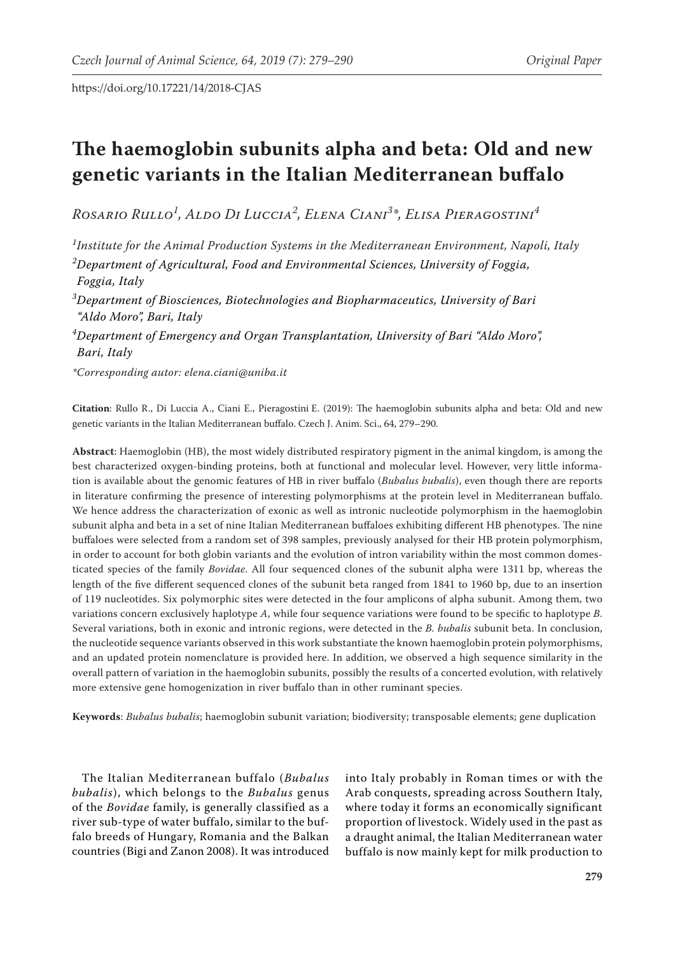# **The haemoglobin subunits alpha and beta: Old and new genetic variants in the Italian Mediterranean buffalo**

*Rosario Rullo<sup>1</sup> , Aldo Di Luccia<sup>2</sup> , Elena Ciani<sup>3</sup> \*, Elisa Pieragostini<sup>4</sup>*

*1 Institute for the Animal Production Systems in the Mediterranean Environment, Napoli, Italy 2 Department of Agricultural, Food and Environmental Sciences, University of Foggia, Foggia, Italy*

*3 Department of Biosciences, Biotechnologies and Biopharmaceutics, University of Bari "Aldo Moro", Bari, Italy*

*4 Department of Emergency and Organ Transplantation, University of Bari "Aldo Moro", Bari, Italy*

*\*Corresponding autor: elena.ciani@uniba.it*

**Citation**: Rullo R., Di Luccia A., Ciani E., Pieragostini E. (2019): The haemoglobin subunits alpha and beta: Old and new genetic variants in the Italian Mediterranean buffalo. Czech J. Anim. Sci., 64, 279–290.

**Abstract**: Haemoglobin (HB), the most widely distributed respiratory pigment in the animal kingdom, is among the best characterized oxygen-binding proteins, both at functional and molecular level. However, very little information is available about the genomic features of HB in river buffalo (*Bubalus bubalis*), even though there are reports in literature confirming the presence of interesting polymorphisms at the protein level in Mediterranean buffalo. We hence address the characterization of exonic as well as intronic nucleotide polymorphism in the haemoglobin subunit alpha and beta in a set of nine Italian Mediterranean buffaloes exhibiting different HB phenotypes. The nine buffaloes were selected from a random set of 398 samples, previously analysed for their HB protein polymorphism, in order to account for both globin variants and the evolution of intron variability within the most common domesticated species of the family *Bovidae*. All four sequenced clones of the subunit alpha were 1311 bp, whereas the length of the five different sequenced clones of the subunit beta ranged from 1841 to 1960 bp, due to an insertion of 119 nucleotides. Six polymorphic sites were detected in the four amplicons of alpha subunit. Among them, two variations concern exclusively haplotype *A*, while four sequence variations were found to be specific to haplotype *B*. Several variations, both in exonic and intronic regions, were detected in the *B. bubalis* subunit beta. In conclusion, the nucleotide sequence variants observed in this work substantiate the known haemoglobin protein polymorphisms, and an updated protein nomenclature is provided here. In addition, we observed a high sequence similarity in the overall pattern of variation in the haemoglobin subunits, possibly the results of a concerted evolution, with relatively more extensive gene homogenization in river buffalo than in other ruminant species.

**Keywords**: *Bubalus bubalis*; haemoglobin subunit variation; biodiversity; transposable elements; gene duplication

The Italian Mediterranean buffalo (*Bubalus bubalis*), which belongs to the *Bubalus* genus of the *Bovidae* family, is generally classified as a river sub-type of water buffalo, similar to the buffalo breeds of Hungary, Romania and the Balkan countries (Bigi and Zanon 2008). It was introduced into Italy probably in Roman times or with the Arab conquests, spreading across Southern Italy, where today it forms an economically significant proportion of livestock. Widely used in the past as a draught animal, the Italian Mediterranean water buffalo is now mainly kept for milk production to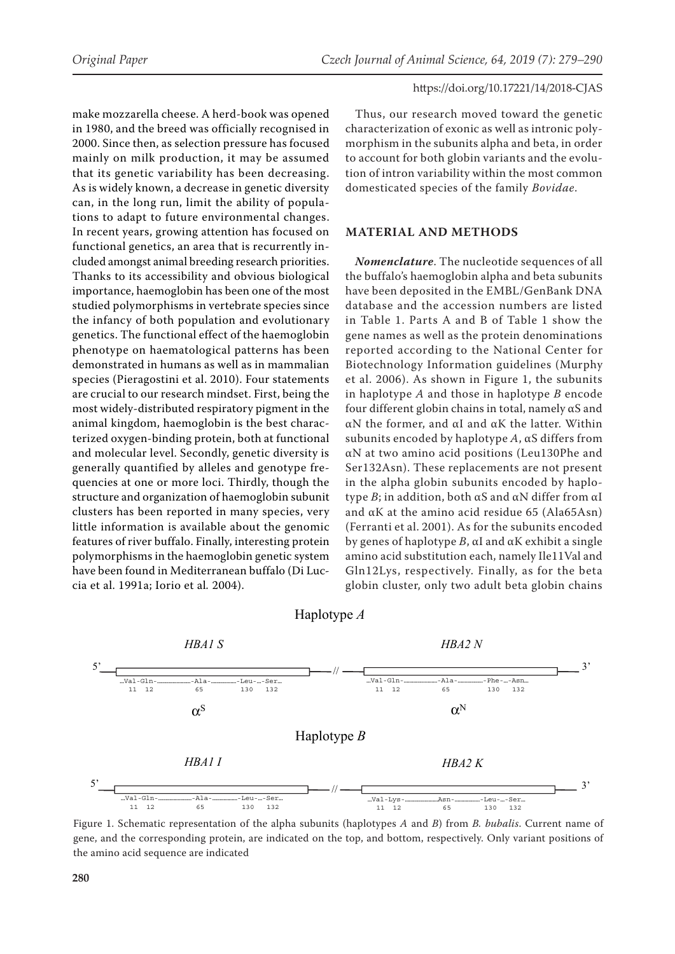make mozzarella cheese. A herd-book was opened in 1980, and the breed was officially recognised in 2000. Since then, as selection pressure has focused mainly on milk production, it may be assumed that its genetic variability has been decreasing. As is widely known, a decrease in genetic diversity can, in the long run, limit the ability of populations to adapt to future environmental changes. In recent years, growing attention has focused on functional genetics, an area that is recurrently included amongst animal breeding research priorities. Thanks to its accessibility and obvious biological importance, haemoglobin has been one of the most studied polymorphisms in vertebrate species since the infancy of both population and evolutionary genetics. The functional effect of the haemoglobin phenotype on haematological patterns has been demonstrated in humans as well as in mammalian species (Pieragostini et al. 2010). Four statements are crucial to our research mindset. First, being the most widely-distributed respiratory pigment in the animal kingdom, haemoglobin is the best characterized oxygen-binding protein, both at functional and molecular level. Secondly, genetic diversity is generally quantified by alleles and genotype frequencies at one or more loci. Thirdly, though the structure and organization of haemoglobin subunit clusters has been reported in many species, very little information is available about the genomic features of river buffalo. Finally, interesting protein polymorphisms in the haemoglobin genetic system have been found in Mediterranean buffalo (Di Luccia et al. 1991a; Iorio et al*.* 2004).

Thus, our research moved toward the genetic characterization of exonic as well as intronic polymorphism in the subunits alpha and beta, in order to account for both globin variants and the evolution of intron variability within the most common domesticated species of the family *Bovidae*.

## **MATERIAL AND METHODS**

*Nomenclature*. The nucleotide sequences of all the buffalo's haemoglobin alpha and beta subunits have been deposited in the EMBL/GenBank DNA database and the accession numbers are listed in Table 1. Parts A and B of Table 1 show the gene names as well as the protein denominations reported according to the National Center for Biotechnology Information guidelines (Murphy et al. 2006). As shown in Figure 1, the subunits in haplotype *A* and those in haplotype *B* encode four different globin chains in total, namely αS and αN the former, and αI and αK the latter. Within subunits encoded by haplotype *A*, αS differs from αN at two amino acid positions (Leu130Phe and Ser132Asn). These replacements are not present in the alpha globin subunits encoded by haplotype *B*; in addition, both αS and αN differ from αI and αK at the amino acid residue 65 (Ala65Asn) (Ferranti et al. 2001). As for the subunits encoded by genes of haplotype *B*, αI and αK exhibit a single amino acid substitution each, namely Ile11Val and Gln12Lys, respectively. Finally, as for the beta globin cluster, only two adult beta globin chains



Haplotype *A*

Figure 1. Schematic representation of the alpha subunits (haplotypes *A* and *B*) from *B. bubalis.* Current name of gene, and the corresponding protein, are indicated on the top, and bottom, respectively. Only variant positions of the amino acid sequence are indicated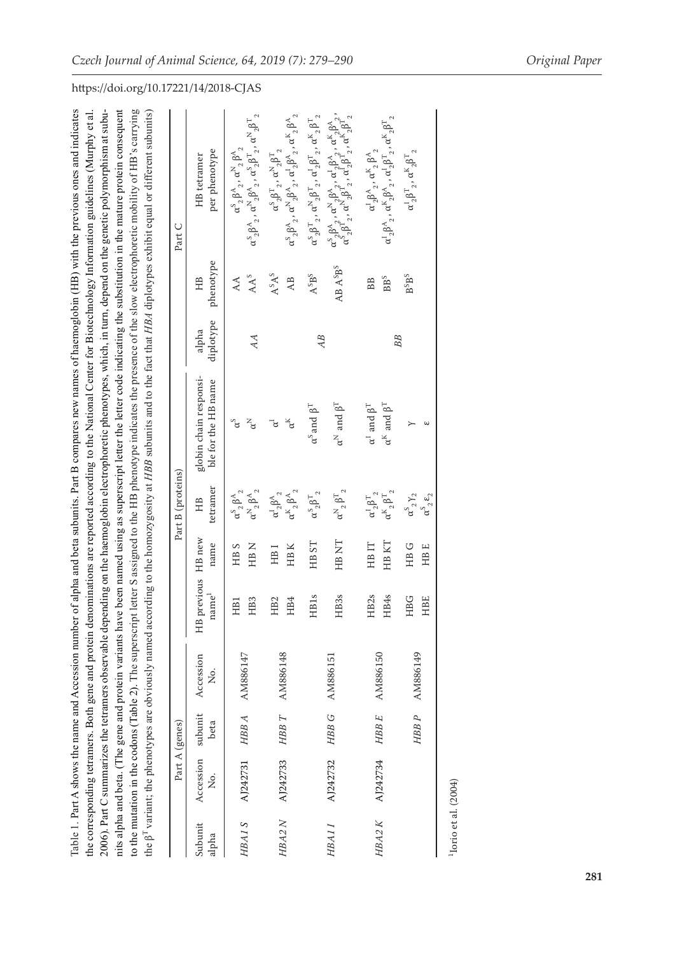|                  |                        |                |                                   |                                         |      |                              |                                               |       |                           | nits alpha and beta. (The gene and protein variants have been named using as superscript letter the letter code indicating the substitution in the mature protein consequent<br>to the mutation in the codons (Table 2). The superscript letter S assigned to the HB phenotype indicates the presence of the slow electrophoretic mobility of HB's carrying<br>the $\beta^1$ variant; the phenotypes are obviously named according to the homozygosity at HBB subunits and to the fact that HBA diplotypes exhibit equal or different subunits) |
|------------------|------------------------|----------------|-----------------------------------|-----------------------------------------|------|------------------------------|-----------------------------------------------|-------|---------------------------|-------------------------------------------------------------------------------------------------------------------------------------------------------------------------------------------------------------------------------------------------------------------------------------------------------------------------------------------------------------------------------------------------------------------------------------------------------------------------------------------------------------------------------------------------|
|                  |                        | Part A (genes) |                                   |                                         |      | Part B (proteins)            |                                               |       |                           | Part C                                                                                                                                                                                                                                                                                                                                                                                                                                                                                                                                          |
| Subunit<br>alpha | S<br>S                 | beta           | Accession subunit Accession<br>Ź. | HB previous HB new<br>name <sup>1</sup> | name | tetramer<br>HB               | globin chain responsi-<br>ble for the HB name | alpha | diplotype phenotype<br>ΗB | per phenotype<br>HB tetramer                                                                                                                                                                                                                                                                                                                                                                                                                                                                                                                    |
| HBA1S            | A1242731 HBBA AM886147 |                |                                   | HB1                                     |      | HBS $\alpha_2^S \beta_{2}^A$ | s<br>g                                        |       | $\mathbb A$               | $\alpha^{\textrm{S}}_{\textrm{2}}\beta^{\textrm{A}}_{\textrm{2}}, \alpha^{\textrm{N}}_{\textrm{2}}\beta^{\textrm{A}}_{\textrm{2}}$                                                                                                                                                                                                                                                                                                                                                                                                              |

|                  |          | Part A (genes) |                                   |                                         |                         | Part B (proteins)                                                                                  |                                                                                    |                    |                                                               | Part C                                                                                                                                                                                                                                                                                                                                                                                                                                                                                                                                                                                                                                                                                    |
|------------------|----------|----------------|-----------------------------------|-----------------------------------------|-------------------------|----------------------------------------------------------------------------------------------------|------------------------------------------------------------------------------------|--------------------|---------------------------------------------------------------|-------------------------------------------------------------------------------------------------------------------------------------------------------------------------------------------------------------------------------------------------------------------------------------------------------------------------------------------------------------------------------------------------------------------------------------------------------------------------------------------------------------------------------------------------------------------------------------------------------------------------------------------------------------------------------------------|
| Subunit<br>alpha | Ż.       | beta           | Accession subunit Accession<br>ż. | HB previous HB new<br>$\mathrm{name}^1$ | name                    | tetramer<br>HB                                                                                     | globin chain responsi-<br>ble for the HB name                                      | diplotype<br>alpha | phenotype<br>HB                                               | per phenotype<br>HB tetramer                                                                                                                                                                                                                                                                                                                                                                                                                                                                                                                                                                                                                                                              |
| HBA1 S           | AJ242731 |                | HBBA AM886147                     | HB <sub>3</sub><br>HB1                  | HB N<br>HB <sub>S</sub> | $\alpha_{\;\;2}^N\beta_{\;\;2}^A$<br>$\alpha_{_2}^{\textrm{S}}\beta_{_2}^{\textrm{A}}$             | $\alpha^5$<br>್ದ                                                                   | AA                 | AA <sup>S</sup><br>$\mathcal{A}$                              | $\alpha^{\mathrm{S}}\beta^{\mathrm{A}}_{\phantom{1}2},\,\alpha^{\mathrm{N}}\beta^{\mathrm{A}}_{\phantom{1}2},\,\alpha^{\mathrm{S}}\beta^{\mathrm{T}}_{\phantom{1}2},\,\alpha^{\mathrm{N}}\beta^{\mathrm{T}}_{\phantom{1}2}$<br>$\alpha^S, \beta^A, \alpha^N, \beta^A$                                                                                                                                                                                                                                                                                                                                                                                                                     |
| HBA2N            | AJ242733 |                | HBB T AM886148                    | HB <sub>2</sub><br>HB4                  | HB K<br>HB <sub>I</sub> | $\alpha^K_{\;\;2} \beta^A_{\;\;2}$<br>$\alpha^I_{2}\beta^A_{2}$                                    | $\alpha^{K}$<br>ರ                                                                  |                    | $A^S A^S$<br>$\mathbb{A}\mathbb{B}$                           | $\alpha^S, \beta^A, \; , \; \alpha^N, \beta^A, \; \alpha^I, \beta^A, \; \alpha^K, \beta^A$<br>$\alpha^{\textrm{S}}_{\textrm{2}}\beta^{\textrm{T}}_{\textrm{2}},\alpha^{\textrm{N}}_{\textrm{2}}\beta^{\textrm{T}}_{\textrm{2}}$                                                                                                                                                                                                                                                                                                                                                                                                                                                           |
| HBA11            | AJ242732 |                | HBB G AM886151                    | HB <sub>1s</sub><br>HB <sub>3s</sub>    | <b>TN SH</b><br>HB ST   | $\alpha_{\;\;2}^{\rm N}\beta_{\;\;2}^{\rm T}$<br>$\alpha^{\rm S}_{\;\;2} \beta^{\rm T}_{\;\;2}$    | $\alpha^N$ and $\beta^T$<br>$\alpha^s$ and $\beta^T$                               | AB                 | $\rm{A}\rm{B}\rm{\,\AA}^{\rm{S}}\rm{B}^{\rm{S}}$<br>$A^{SBS}$ | $\alpha_{\,2}^{\rm x}\beta_{\,2}^{\rm A},\,\alpha_{\,2}^{\rm N}\beta_{\,2}^{\rm A},\,\alpha_{\,2}^{\rm I}\beta_{\,2}^{\rm A},\,\alpha_{\,2}^{\rm K}\beta_{\,2}^{\rm A},\\ \alpha_{\,2}^{\rm x}\beta_{\,2}^{\rm T},\,\alpha_{\,2}^{\rm N}\beta_{\,2}^{\rm T},\,\alpha_{\,2}^{\rm V}\beta_{\,2}^{\rm T}$<br>$\alpha^{\scriptscriptstyle{{\mathrm{S}}}}\beta^{\scriptscriptstyle{{\mathrm{T}}}}_{\;\_2},\,\alpha^{\scriptscriptstyle{{\mathrm{N}}}}\beta^{\scriptscriptstyle{{\mathrm{T}}}}_{\;\_2},\,\alpha^{\scriptscriptstyle{{\mathrm{I}}}}\beta^{\scriptscriptstyle{{\mathrm{T}}}}_{\;\_2},\,\alpha^{\scriptscriptstyle{{\mathrm{K}}}}\beta^{\scriptscriptstyle{{\mathrm{T}}}}_{\;\_2}$ |
| HBA2K            | AJ242734 | $HBB E$        | AM886150                          | HB <sub>2s</sub><br>HB4s                | HB KT<br>HB IT          | $\alpha^K_{\phantom{K}2}\beta^T_{\phantom{T}2}$<br>$\alpha^{\text{I}}{}_{2}\beta^{\text{T}}{}_{2}$ | $\alpha^{\rm K}$ and $\beta^{\rm T}$<br>$\alpha^{\text{I}}$ and $\beta^{\text{T}}$ | <b>BB</b>          | BB <sup>S</sup><br>BB                                         | $\alpha^I_{\phantom{I}2}\beta^A_{\phantom{A}2} \,,\, \alpha^K_{\phantom{K}2}\beta^A_{\phantom{A}2} \,,\, \alpha^I_{\phantom{I}2}\beta^T_{\phantom{I}2} \,,\, \alpha^K_{\phantom{K}2}\beta^T_{\phantom{I}2}$<br>$\alpha^I_{~2}\beta^A_{~2}$ , $\alpha^K_{~2}\beta^A_{~2}$                                                                                                                                                                                                                                                                                                                                                                                                                  |
|                  |          | HBBP           | AM886149                          | <b>HBG</b><br>HBE                       | HB G<br>HBE             | $\alpha_{\,\,2}^{\rm S}\,\gamma_{\,2}$<br>$\alpha_{_{\,2}}^{\rm S} \epsilon_{_{\,2}}$              |                                                                                    |                    | $B^{s}B^{s}$                                                  | $\alpha^{\rm I}{}_{2}\beta^{\rm T}{}_{2}$ , $\alpha^{\rm K}{}_{2}\beta^{\rm T}{}_{2}$                                                                                                                                                                                                                                                                                                                                                                                                                                                                                                                                                                                                     |

 $^1$  Iorio et al.  $\left( 2004\right)$ 1Iorio et al. (2004)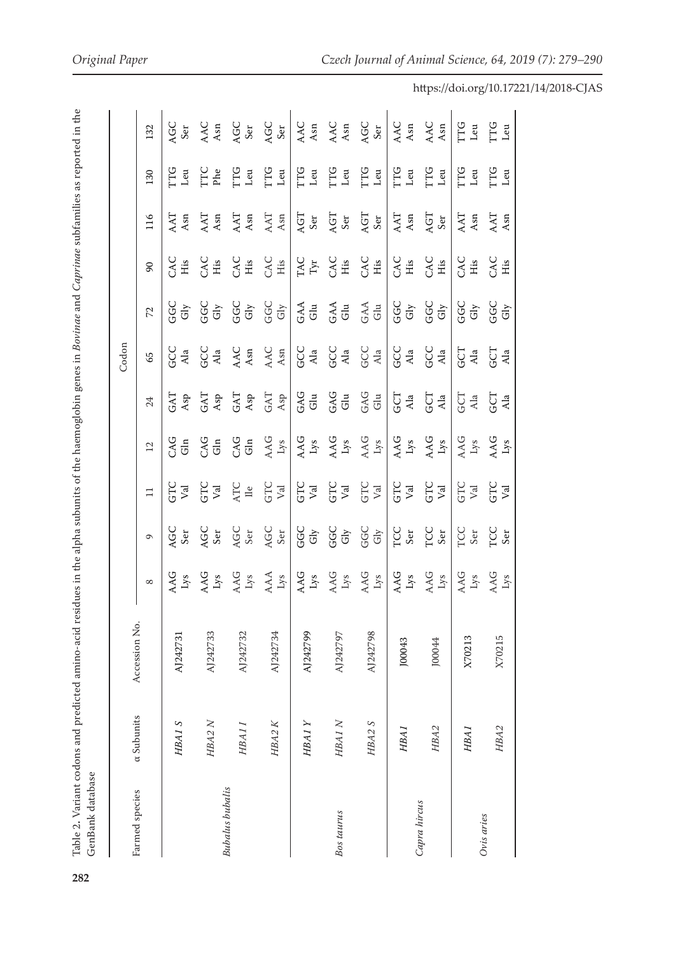| ٢<br>j                                                             |             |
|--------------------------------------------------------------------|-------------|
| taminor ar ronortod in the                                         |             |
|                                                                    |             |
|                                                                    |             |
| ;<br>;<br>;                                                        |             |
|                                                                    |             |
|                                                                    |             |
| $\frac{1}{2}$                                                      |             |
|                                                                    |             |
|                                                                    |             |
| $\sim$ and $\sim$ $\sim$<br>ζ                                      |             |
| <b>ANTIA SCART AND</b>                                             |             |
|                                                                    |             |
| Ç                                                                  |             |
|                                                                    |             |
|                                                                    |             |
|                                                                    |             |
|                                                                    |             |
| white course.                                                      |             |
|                                                                    |             |
|                                                                    |             |
| eiding in the alpha cubunity of the bagmor obin genes in Routing   |             |
|                                                                    |             |
|                                                                    |             |
|                                                                    |             |
|                                                                    |             |
|                                                                    |             |
| ֖֖֖֖֖֖֖֖֖ׅׅ֪֪ׅ֪֪ׅ֪֪ׅ֪֪֪֪֪֪֪ׅ֖֚֚֚֚֚֚֚֚֚֚֚֚֚֚֚֚֚֚֚֚֚֚֚֚֚֚֬֝֓֞֓֞<br>í |             |
| )<br>}<br>}<br>ì                                                   |             |
|                                                                    |             |
| í                                                                  |             |
| $\ddot{\phantom{a}}$                                               |             |
|                                                                    |             |
|                                                                    |             |
| ;<br>;<br>;                                                        |             |
|                                                                    |             |
| しつせつ アクスミューア えり じょう ブラフ                                            |             |
|                                                                    |             |
| i                                                                  |             |
| -<br>1<br>1<br>ٔ                                                   |             |
|                                                                    | i           |
| r<br>Tala                                                          | $-$ on<br>Ć |

| <b>OCTIDaIIN Waterbast</b> |                    |               |                                                                                                                                                                            |                                                                                                                                                                                |                                                                                                                                                                                                                                                                                                                                                                                                                             |                                       |                                        |                                 |                                      |                                           |                                                                                                                                          |                                                 |                          |
|----------------------------|--------------------|---------------|----------------------------------------------------------------------------------------------------------------------------------------------------------------------------|--------------------------------------------------------------------------------------------------------------------------------------------------------------------------------|-----------------------------------------------------------------------------------------------------------------------------------------------------------------------------------------------------------------------------------------------------------------------------------------------------------------------------------------------------------------------------------------------------------------------------|---------------------------------------|----------------------------------------|---------------------------------|--------------------------------------|-------------------------------------------|------------------------------------------------------------------------------------------------------------------------------------------|-------------------------------------------------|--------------------------|
| Farmed species             | a Subunits         | Accession No. |                                                                                                                                                                            |                                                                                                                                                                                |                                                                                                                                                                                                                                                                                                                                                                                                                             |                                       |                                        | Codon                           |                                      |                                           |                                                                                                                                          |                                                 |                          |
|                            |                    |               | $\infty$                                                                                                                                                                   | $\circ$                                                                                                                                                                        | $\Box$                                                                                                                                                                                                                                                                                                                                                                                                                      | $12\,$                                | 24                                     | 65                              | $\mathbb{Z}$                         | $\delta$                                  | 116                                                                                                                                      | 130                                             | 132                      |
|                            | HBA1 S             | AJ242731      |                                                                                                                                                                            |                                                                                                                                                                                |                                                                                                                                                                                                                                                                                                                                                                                                                             |                                       |                                        |                                 |                                      |                                           |                                                                                                                                          |                                                 |                          |
|                            | HBA <sub>2</sub> N | AJ242733      |                                                                                                                                                                            |                                                                                                                                                                                |                                                                                                                                                                                                                                                                                                                                                                                                                             |                                       |                                        |                                 |                                      |                                           |                                                                                                                                          |                                                 |                          |
| <b>Bubalus</b> bubalis     | HBA1 I             | AJ242732      | $\begin{array}{l}\n\text{AAG} \\ \text{Lys} \\ \text{AAG} \\ \text{Lys} \\ \text{AAG} \\ \text{Lys} \\ \text{AAG} \\ \text{AAG} \\ \text{Lys} \\ \text{AAG} \n\end{array}$ | $\begin{array}{l} \texttt{AGC} \\ \texttt{Ser} \\ \texttt{AGC} \\ \texttt{AGC} \\ \texttt{AGC} \\ \texttt{AGC} \\ \texttt{AGC} \\ \texttt{AGC} \\ \texttt{AGC} \\ \end{array}$ | $rac{1}{\sqrt{2}}$<br>$rac{1}{\sqrt{2}}$<br>$rac{1}{\sqrt{2}}$<br>$rac{1}{\sqrt{2}}$<br>$rac{1}{\sqrt{2}}$<br>$rac{1}{\sqrt{2}}$<br>$rac{1}{\sqrt{2}}$                                                                                                                                                                                                                                                                      |                                       | GAT<br>Asp<br>GAT<br>GAT<br>GAT<br>GAT | <b>SCC</b><br>SCC<br>As Ass     |                                      | CAC<br>His CAC<br>CAC<br>CAC<br>CAC<br>CH | AAT<br>Asn<br>AST<br>AST<br>AST<br>AST<br>AST<br>AST                                                                                     | THE PART PLAN<br>THE PART PLAN<br>THE PART PLAN |                          |
|                            | HBA2K              | AJ242734      |                                                                                                                                                                            |                                                                                                                                                                                |                                                                                                                                                                                                                                                                                                                                                                                                                             |                                       |                                        | $\frac{\text{MAC}}{\text{Asn}}$ |                                      |                                           |                                                                                                                                          |                                                 |                          |
|                            | HBA1Y              | AJ242799      |                                                                                                                                                                            |                                                                                                                                                                                |                                                                                                                                                                                                                                                                                                                                                                                                                             |                                       |                                        |                                 |                                      |                                           |                                                                                                                                          |                                                 |                          |
| <b>Bos</b> taurus          | HBA1N              | AJ242797      |                                                                                                                                                                            |                                                                                                                                                                                |                                                                                                                                                                                                                                                                                                                                                                                                                             |                                       |                                        |                                 |                                      |                                           |                                                                                                                                          |                                                 |                          |
|                            | HBA2 S             | AJ242798      |                                                                                                                                                                            |                                                                                                                                                                                |                                                                                                                                                                                                                                                                                                                                                                                                                             |                                       |                                        |                                 |                                      |                                           |                                                                                                                                          |                                                 |                          |
|                            | <b>HBA1</b>        | J00043        |                                                                                                                                                                            |                                                                                                                                                                                | $\begin{array}{ c c c c c }\n\hline\n\text{G} & \text{G} & \text{G} & \text{G} \\ \hline\n\text{G} & \text{G} & \text{G} & \text{G} & \text{G} \\ \hline\n\text{G} & \text{G} & \text{G} & \text{G} & \text{G} \\ \hline\n\text{G} & \text{G} & \text{G} & \text{G} & \text{G} \\ \hline\n\text{G} & \text{G} & \text{G} & \text{G} & \text{G} \\ \hline\n\text{G} & \text{G} & \text{G} & \text{G} & \text{G} \\ \hline\n$ | ge ge ge gange skear ganges ganges ga | sa sa sa basa                          |                                 | g à g à g à g à g a g a g a lg à g à | NAC<br>CAS CAS CAS CAS<br>CAS CAS CAS     | $\frac{\text{AGT}}{\text{AGT}}$<br>$\frac{\text{AGT}}{\text{AGT}}$<br>$\frac{\text{SGR}}{\text{AGT}}$<br>$\frac{\text{AGT}}{\text{AGT}}$ | ES ES ES ES ES                                  |                          |
| Capra hircus               | HBA2               | J00044        |                                                                                                                                                                            |                                                                                                                                                                                |                                                                                                                                                                                                                                                                                                                                                                                                                             |                                       |                                        |                                 |                                      |                                           |                                                                                                                                          |                                                 |                          |
| Ovis aries                 | HBAI               | X70213        |                                                                                                                                                                            | <b>TCC</b><br>Ser<br>Ser                                                                                                                                                       | $572$<br>$572$                                                                                                                                                                                                                                                                                                                                                                                                              |                                       | GE GE<br>GE GE                         | tra<br>Gali                     | ge<br>Gebure<br>Gebure               | <b>AE SAE</b><br>AE AE                    | AAT<br>Asn<br>AAT<br>ASn                                                                                                                 | <b>THE LET</b><br>Let Leu                       | <br>  Hu<br>  Hu<br>  Hu |
|                            | HBA <sub>2</sub>   | X70215        |                                                                                                                                                                            |                                                                                                                                                                                |                                                                                                                                                                                                                                                                                                                                                                                                                             |                                       |                                        |                                 |                                      |                                           |                                                                                                                                          |                                                 |                          |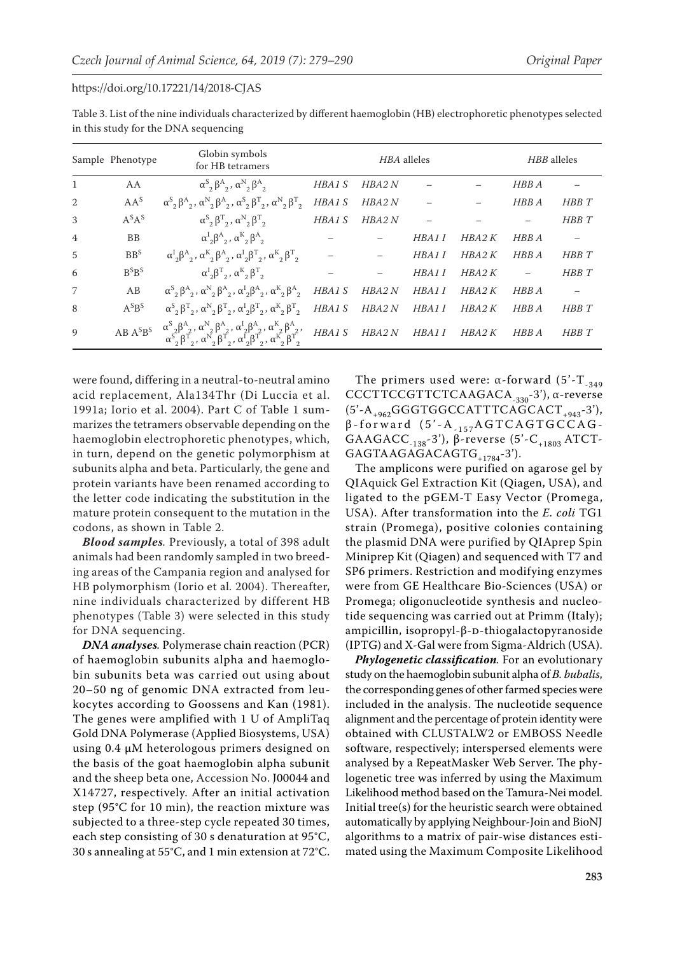| Table 3. List of the nine individuals characterized by different haemoglobin (HB) electrophoretic phenotypes selected |
|-----------------------------------------------------------------------------------------------------------------------|
| in this study for the DNA sequencing                                                                                  |

|                | Sample Phenotype                 | Globin symbols<br>for HB tetramers                                                                                                                                                                                                            |        | HBA alleles |        |        |              | HBB alleles  |
|----------------|----------------------------------|-----------------------------------------------------------------------------------------------------------------------------------------------------------------------------------------------------------------------------------------------|--------|-------------|--------|--------|--------------|--------------|
| $\mathbf{1}$   | AA                               | $\alpha_{2}^{S}$ $\beta_{2}^{A}$ , $\alpha_{2}^{N}$ $\beta_{2}^{A}$                                                                                                                                                                           | HBA1 S | HBA2 N      |        |        | <b>HBB</b> A |              |
| 2              | $AA^S$                           | $\alpha_{2}^{S}$ $\beta_{2}^{A}$ , $\alpha_{2}^{N}$ $\beta_{2}^{A}$ , $\alpha_{2}^{S}$ $\beta_{2}^{T}$ , $\alpha_{2}^{N}$ $\beta_{2}^{T}$                                                                                                     | HBA1 S | HBA2 N      |        |        | HBB A        | HBB T        |
| 3              | $A^S A^S$                        | $\alpha_{2}^{S}$ $\beta_{2}^{T}$ , $\alpha_{2}^{N}$ $\beta_{2}^{T}$                                                                                                                                                                           | HBA1 S | HBA2 N      |        |        |              | <b>HBB</b> T |
| $\overline{4}$ | <b>BB</b>                        | $\alpha^I$ <sub>2</sub> $\beta^A$ <sub>2</sub> , $\alpha^K$ <sub>2</sub> $\beta^A$ <sub>2</sub>                                                                                                                                               |        |             | HBA1 I | HBA2 K | HBB A        |              |
| 5              | BB <sup>S</sup>                  | $\alpha^{I}_{2}\beta^{A}_{2}$ , $\alpha^{K}_{2}\beta^{A}_{2}$ , $\alpha^{I}_{2}\beta^{T}_{2}$ , $\alpha^{K}_{2}\beta^{T}_{2}$                                                                                                                 |        |             | HBA1I  | HBA2K  | HBB A        | <b>HBB</b> T |
| 6              | $B^{S}B^{S}$                     | $\alpha^I$ <sub>2</sub> $\beta^T$ <sub>2</sub> , $\alpha^K$ <sub>2</sub> $\beta^T$ <sub>2</sub>                                                                                                                                               |        |             | HBA11  | HBA2K  |              | HBB T        |
| 7              | AB                               | $\alpha^{S}_{2}$ $\beta^{A}_{2}$ , $\alpha^{N}_{2}$ $\beta^{A}_{2}$ , $\alpha^{I}_{2}$ $\beta^{A}_{2}$ , $\alpha^{K}_{2}$ $\beta^{A}_{2}$                                                                                                     | HBA1 S | HBA2 N      | HBA1 I | HBA2K  | HBB A        |              |
| 8              | $A^{S}B^{S}$                     | $\alpha_{2}^{S} \beta_{2}^{T}$ , $\alpha_{2}^{N} \beta_{2}^{T}$ , $\alpha_{2}^{I} \beta_{2}^{T}$ , $\alpha_{2}^{K} \beta_{2}^{T}$                                                                                                             | HBA1 S | HBA2 N      | HBA1 I | HBA2K  | HBB A        | <b>HBB</b> T |
| $\mathbf Q$    | AB A <sup>S</sup> B <sup>S</sup> | $\alpha^{S}_{2}\beta^{A}_{2}, \alpha^{N}_{2}\beta^{A}_{2}, \alpha^{I}_{2}\beta^{A}_{2}, \alpha^{K}_{2}\beta^{A}_{2},$<br>$\alpha^{S}_{2}\beta^{T}_{2}, \alpha^{N}_{2}\beta^{T}_{2}, \alpha^{I}_{2}\beta^{T}_{2}, \alpha^{K}_{2}\beta^{T}_{2}$ | HBA1S  | HBA2N       | HBA1I  | HBA2K  | HBB A        | HBB T        |

were found, differing in a neutral-to-neutral amino acid replacement, Ala134Thr (Di Luccia et al. 1991a; Iorio et al. 2004). Part C of Table 1 summarizes the tetramers observable depending on the haemoglobin electrophoretic phenotypes, which, in turn, depend on the genetic polymorphism at subunits alpha and beta. Particularly, the gene and protein variants have been renamed according to the letter code indicating the substitution in the mature protein consequent to the mutation in the codons, as shown in Table 2.

*Blood samples.* Previously, a total of 398 adult animals had been randomly sampled in two breeding areas of the Campania region and analysed for HB polymorphism (Iorio et al*.* 2004). Thereafter, nine individuals characterized by different HB phenotypes (Table 3) were selected in this study for DNA sequencing.

*DNA analyses.* Polymerase chain reaction (PCR) of haemoglobin subunits alpha and haemoglobin subunits beta was carried out using about 20–50 ng of genomic DNA extracted from leukocytes according to Goossens and Kan (1981). The genes were amplified with 1 U of AmpliTaq Gold DNA Polymerase (Applied Biosystems, USA) using 0.4 µM heterologous primers designed on the basis of the goat haemoglobin alpha subunit and the sheep beta one, Accession No. J00044 and X14727, respectively. After an initial activation step (95°C for 10 min), the reaction mixture was subjected to a three-step cycle repeated 30 times, each step consisting of 30 s denaturation at 95°C, 30 s annealing at 55°C, and 1 min extension at 72°C.

The primers used were:  $\alpha$ -forward (5'-T<sub>-349</sub>) CCCTTCCGTTCTCAAGACA<sub>-330</sub>-3'), α-reverse  $(5'-A_{+962}GGGGTGGCCATTTCAGCACT_{+943}-3'),$  $\beta$ -forward (5'-A<sub>-157</sub>AGTCAGTGCCAG-GAAGACC<sub>-138</sub>-3'),  $\beta$ -reverse (5'-C<sub>+1803</sub> ATCT- $GAGTAAGAGACAGTG_{+1784}^{\sim}3$ .

The amplicons were purified on agarose gel by QIAquick Gel Extraction Kit (Qiagen, USA), and ligated to the pGEM-T Easy Vector (Promega, USA). After transformation into the *E. coli* TG1 strain (Promega), positive colonies containing the plasmid DNA were purified by QIAprep Spin Miniprep Kit (Qiagen) and sequenced with T7 and SP6 primers. Restriction and modifying enzymes were from GE Healthcare Bio-Sciences (USA) or Promega; oligonucleotide synthesis and nucleotide sequencing was carried out at Primm (Italy); ampicillin, isopropyl-β-D-thiogalactopyranoside (IPTG) and X-Gal were from Sigma-Aldrich (USA).

*Phylogenetic classification.* For an evolutionary study on the haemoglobin subunit alpha of *B. bubalis*, the corresponding genes of other farmed species were included in the analysis. The nucleotide sequence alignment and the percentage of protein identity were obtained with CLUSTALW2 or EMBOSS Needle software, respectively; interspersed elements were analysed by a RepeatMasker Web Server. The phylogenetic tree was inferred by using the Maximum Likelihood method based on the Tamura-Nei model. Initial tree(s) for the heuristic search were obtained automatically by applying Neighbour-Join and BioNJ algorithms to a matrix of pair-wise distances estimated using the Maximum Composite Likelihood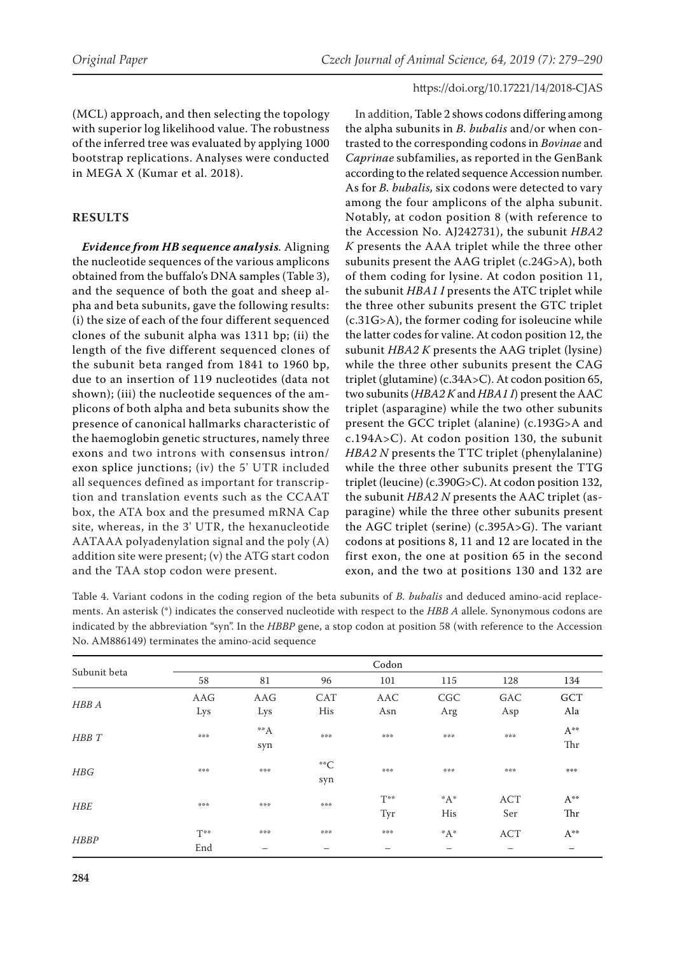(MCL) approach, and then selecting the topology with superior log likelihood value. The robustness of the inferred tree was evaluated by applying 1000 bootstrap replications. Analyses were conducted in MEGA X (Kumar et al. 2018).

## **RESULTS**

*Evidence from HB sequence analysis.* Aligning the nucleotide sequences of the various amplicons obtained from the buffalo's DNA samples (Table 3), and the sequence of both the goat and sheep alpha and beta subunits, gave the following results: (i) the size of each of the four different sequenced clones of the subunit alpha was 1311 bp; (ii) the length of the five different sequenced clones of the subunit beta ranged from 1841 to 1960 bp, due to an insertion of 119 nucleotides (data not shown); (iii) the nucleotide sequences of the amplicons of both alpha and beta subunits show the presence of canonical hallmarks characteristic of the haemoglobin genetic structures, namely three exons and two introns with consensus intron/ exon splice junctions; (iv) the 5' UTR included all sequences defined as important for transcription and translation events such as the CCAAT box, the ATA box and the presumed mRNA Cap site, whereas, in the 3' UTR, the hexanucleotide AATAAA polyadenylation signal and the poly (A) addition site were present; (v) the ATG start codon and the TAA stop codon were present.

In addition, Table 2 shows codons differing among the alpha subunits in *B. bubalis* and/or when contrasted to the corresponding codons in *Bovinae* and *Caprinae* subfamilies, as reported in the GenBank according to the related sequence Accession number. As for *B. bubalis,* six codons were detected to vary among the four amplicons of the alpha subunit. Notably, at codon position 8 (with reference to the Accession No. AJ242731), the subunit *HBA2 K* presents the AAA triplet while the three other subunits present the AAG triplet (c.24G>A), both of them coding for lysine. At codon position 11, the subunit *HBA1 I* presents the ATC triplet while the three other subunits present the GTC triplet (c.31G>A), the former coding for isoleucine while the latter codes for valine. At codon position 12, the subunit *HBA2 K* presents the AAG triplet (lysine) while the three other subunits present the CAG triplet (glutamine) (c.34A>C). At codon position 65, two subunits (*HBA2 K* and *HBA1 I*) present the AAC triplet (asparagine) while the two other subunits present the GCC triplet (alanine) (c.193G>A and c.194A>C). At codon position 130, the subunit *HBA2 N* presents the TTC triplet (phenylalanine) while the three other subunits present the TTG triplet (leucine) (c.390G>C). At codon position 132, the subunit *HBA2 N* presents the AAC triplet (asparagine) while the three other subunits present the AGC triplet (serine) (c.395A>G). The variant codons at positions 8, 11 and 12 are located in the first exon, the one at position 65 in the second exon, and the two at positions 130 and 132 are

Table 4. Variant codons in the coding region of the beta subunits of *B. bubalis* and deduced amino-acid replacements. An asterisk (\*) indicates the conserved nucleotide with respect to the *HBB A* allele. Synonymous codons are indicated by the abbreviation "syn". In the *HBBP* gene, a stop codon at position 58 (with reference to the Accession No. AM886149) terminates the amino-acid sequence

|              |          |                        |            | Codon    |         |                          |            |
|--------------|----------|------------------------|------------|----------|---------|--------------------------|------------|
| Subunit beta |          |                        |            |          |         |                          |            |
|              | 58       | 81                     | 96         | 101      | 115     | 128                      | 134        |
|              | AAG      | AAG                    | <b>CAT</b> | AAC      | CGC     | <b>GAC</b>               | <b>GCT</b> |
| HBB A        | Lys      | Lys                    | His        | Asn      | Arg     | Asp                      | Ala        |
|              | ***      | ${}^{\ast\ast}{\rm A}$ | 染染染        | 染染物      | ***     | ***                      | $A^{**}$   |
| HBB T        |          | syn                    |            |          |         |                          | Thr        |
|              | ***      | ***                    | $C^*C$     | ***      | ***     | 染染染                      | 杀杀杀        |
| HBG          |          |                        | syn        |          |         |                          |            |
|              | ***      | ***                    | 染染染        | $T^{**}$ | $^*A^*$ | <b>ACT</b>               | $A^{**}$   |
| <b>HBE</b>   |          |                        |            | Tyr      | His     | Ser                      | Thr        |
|              | $T^{**}$ | ***                    | 染染染        | ***      | $^*A^*$ | ACT                      | $A^{**}$   |
| <b>HBBP</b>  | End      | -                      |            | —        | —       | $\overline{\phantom{m}}$ |            |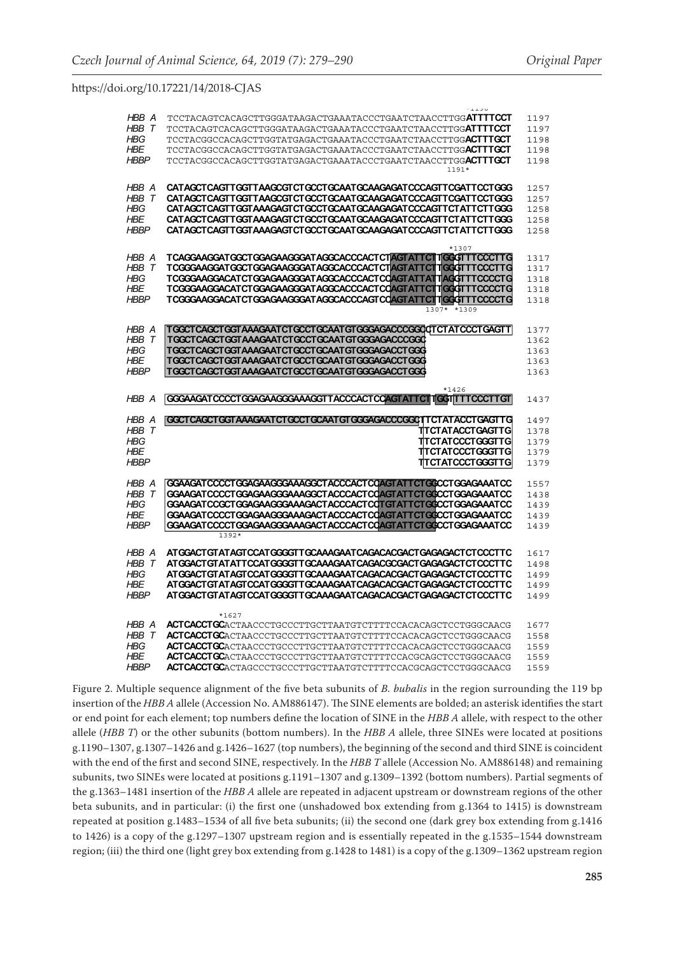|                      | $-1120$                                                                         |      |
|----------------------|---------------------------------------------------------------------------------|------|
| HBB A                | TCCTACAGTCACAGCTTGGGATAAGACTGAAATACCCTGAATCTAACCTTGG <b>ATTTTCCT</b>            | 1197 |
| <b>HBB</b><br>$\tau$ | TCCTACAGTCACAGCTTGGGATAAGACTGAAATACCCTGAATCTAACCTTGG <b>ATTTTCCT</b>            | 1197 |
| <b>HBG</b>           | TCCTACGGCCACAGCTTGGTATGAGACTGAAATACCCTGAATCTAACCTTGGACTTTGCT                    | 1198 |
| <b>HBE</b>           | TCCTACGGCCACAGCTTGGTATGAGACTGAAATACCCTGAATCTAACCTTGG <b>ACTTTGCT</b>            | 1198 |
| <b>HBBP</b>          |                                                                                 |      |
|                      | TCCTACGGCCACAGCTTGGTATGAGACTGAAATACCCTGAATCTAACCTTGG <b>ACTTTGCT</b>            | 1198 |
|                      | 1191*                                                                           |      |
| HBB A                | CATAGCTCAGTTGGTTAAGCGTCTGCCTGCAATGCAAGAGATCCCAGTTCGATTCCTGGG                    | 1257 |
| HBB T                | CATAGCTCAGTTGGTTAAGCGTCTGCCTGCAATGCAAGAGATCCCAGTTCGATTCCTGGG                    | 1257 |
| <b>HBG</b>           | CATAGCTCAGTTGGTAAAGAGTCTGCCTGCAATGCAAGAGATCCCAGTTCTATTCTTGGG                    | 1258 |
| <b>HBE</b>           | CATAGCTCAGTTGGTAAAGAGTCTGCCTGCAATGCAAGAGATCCCAGTTCTATTCTTGGG                    | 1258 |
| <b>HBBP</b>          | CATAGCTCAGTTGGTAAAGAGTCTGCCTGCAATGCAAGAGATCCCAGTTCTATTCTTGGG                    | 1258 |
|                      |                                                                                 |      |
|                      | *1307                                                                           |      |
| HBB A                | TCAGGAAGGATGGCTGGAGAAGGGATAGGCACCCACTCTAGTATTCTTGGGTTTCCCTTG                    | 1317 |
| HBB T                | TCGGGAAGGATGGCTGGAGAAGGGATAGGCACCCACTCTAGTATTCTTGGGTTTCCCTTG                    | 1317 |
| <b>HBG</b>           | TCGGGAAGGACATCTGGAGAAGGGATAGGCACCCACTCCAGTATTATTAGGTTTCCCCTG                    | 1318 |
| <b>HBE</b>           | TCGGGAAGGACATCTGGAGAAGGGATAGGCACCCACTCCAGTATTCTTGGGTTTCCCCTG                    | 1318 |
| <b>HBBP</b>          | TCGGGAAGGACATCTGGAGAAGGGATAGGCACCCAGTCCAGTATTCTTGGGTTTCCCCTG                    | 1318 |
|                      | 1307* *1309                                                                     |      |
| HBB A                | TGGCTCAGCTGGTAAAGAATCTGCCTGCAATGTGGGAGACCCGGCCTCTATCCCTGAGTT                    |      |
| HBB T                | TGGCTCAGCTGGTAAAGAATCTGCCTGCAATGTGGGAGACCCGGO                                   | 1377 |
|                      |                                                                                 | 1362 |
| <b>HBG</b>           | TGGCTCAGCTGGTAAAGAATCTGCCTGCAATGTGGGAGACCTGGG                                   | 1363 |
| <b>HBE</b>           | TGGCTCAGCTGGTAAAGAATCTGCCTGCAATGTGGGAGACCTGGG                                   | 1363 |
| <b>HBBP</b>          | TGGCTCAGCTGGTAAAGAATCTGCCTGCAATGTGGGAGACCTGGG                                   | 1363 |
|                      | *1426                                                                           |      |
| HBB A                | GGGAAGATCCCCTGGAGAAGGGAAAGGTTACCCACTCCAGTATTCTTGTTTCCCTTGT                      | 1437 |
|                      |                                                                                 |      |
| HBB A                | GGCTCAGCTGGTAAAGAATCTGCCTGCAATGTGGGAGACCCGG0TTCTATACCTGAGTTG                    | 1497 |
| HBB T                | TITCTATACCTGAGTTG                                                               | 1378 |
| HBG                  | TITCTATCCCTGGGTTG                                                               | 1379 |
| <b>HBE</b>           | TITCTATCCCTGGGTTG                                                               | 1379 |
| <b>HBBP</b>          | TITCTATCCCTGGGTTG                                                               | 1379 |
| HBB A                | GGAAGATCCCCTGGAGAAGGGAAAGGCTACCCACTCGAGTATTCTGCCCTGGAGAAATCC                    | 1557 |
| HBB T                | GGAAGATCCCCTGGAGAAGGGAAAGGCTACCCACTCCAGTATTCTGCCCTGGAGAAATCC                    |      |
|                      |                                                                                 | 1438 |
| <b>HBG</b>           | GGAAGATCCGCTGGAGAAGGGAAAGACTACCCACTCCTGTATTCTGCCCTGGAGAAATCC                    | 1439 |
| <b>HBE</b>           | GGAAGATCCCCTGGAGAAGGGAAAGACTACCCACTCCAGTATTCTGGCCTGGAGAAATCC                    | 1439 |
| <b>HBBP</b>          | GGAAGATCCCCTGGAGAAGGGAAAGACTACCCACTCCAGTATTCTGGCCTGGAGAAATCC<br>$1392*$         | 1439 |
|                      |                                                                                 |      |
| HBB A                | ATGGACTGTATAGTCCATGGGGTTGCAAAGAATCAGACACGACTGAGAGACTCTCCCTTC                    | 1617 |
| HBB T                | ATGGACTGTATATTCCATGGGGTTGCAAAGAATCAGACGCGACTGAGAGACTCTCCCTTC                    | 1498 |
| <b>HBG</b>           | ATGGACTGTATAGTCCATGGGGTTGCAAAGAATCAGACACGACTGAGAGACTCTCCCTTC                    | 1499 |
| <b>HBE</b>           | ATGGACTGTATAGTCCATGGGGTTGCAAAGAATCAGACACGACTGAGAGACTCTCCCTTC                    | 1499 |
| <b>HBBP</b>          | ATGGACTGTATAGTCCATGGGGTTGCAAAGAATCAGACACGACTGAGAGACTCTCCCTTC                    | 1499 |
|                      |                                                                                 |      |
| HBB A                | $*1627$<br><b>ACTCACCTGC</b> ACTAACCCTGCCCTTGCTTAATGTCTTTTCCACACAGCTCCTGGGCAACG | 1677 |
| HBB T                | <b>ACTCACCTGC</b> ACTAACCCTGCCCTTGCTTAATGTCTTTTCCACACAGCTCCTGGGCAACG            | 1558 |
| <b>HBG</b>           | <b>ACTCACCTGC</b> ACTAACCCTGCCCTTGCTTAATGTCTTTTCCACACAGCTCCTGGGCAACG            | 1559 |
| HBE                  | <b>ACTCACCTGC</b> ACTAACCCTGCCCTTGCTTAATGTCTTTTCCACGCAGCTCCTGGGCAACG            | 1559 |
|                      |                                                                                 |      |
| <b>HBBP</b>          | <b>ACTCACCTGC</b> ACTAGCCCTGCCCTTGCTTAATGTCTTTTCCACGCAGCTCCTGGGCAACG            | 1559 |

Figure 2. Multiple sequence alignment of the five beta subunits of *B. bubalis* in the region surrounding the 119 bp insertion of the *HBB A* allele (Accession No. AM886147). The SINE elements are bolded; an asterisk identifies the start or end point for each element; top numbers define the location of SINE in the *HBB A* allele, with respect to the other allele (*HBB T*) or the other subunits (bottom numbers). In the *HBB A* allele, three SINEs were located at positions g.1190–1307, g.1307–1426 and g.1426–1627 (top numbers), the beginning of the second and third SINE is coincident with the end of the first and second SINE, respectively. In the *HBB T* allele (Accession No. AM886148) and remaining subunits, two SINEs were located at positions g.1191–1307 and g.1309–1392 (bottom numbers). Partial segments of the g.1363–1481 insertion of the *HBB A* allele are repeated in adjacent upstream or downstream regions of the other beta subunits, and in particular: (i) the first one (unshadowed box extending from g.1364 to 1415) is downstream repeated at position g.1483–1534 of all five beta subunits; (ii) the second one (dark grey box extending from g.1416 to 1426) is a copy of the g.1297–1307 upstream region and is essentially repeated in the g.1535–1544 downstream region; (iii) the third one (light grey box extending from g.1428 to 1481) is a copy of the g.1309–1362 upstream region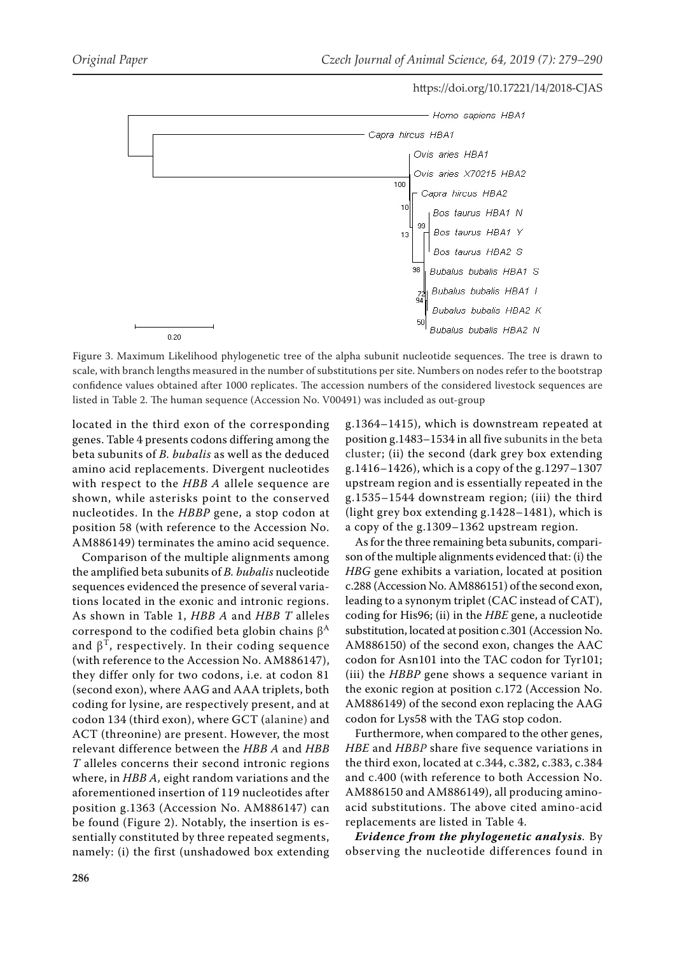

Figure 3. Maximum Likelihood phylogenetic tree of the alpha subunit nucleotide sequences. The tree is drawn to scale, with branch lengths measured in the number of substitutions per site. Numbers on nodes refer to the bootstrap confidence values obtained after 1000 replicates. The accession numbers of the considered livestock sequences are listed in Table 2. The human sequence (Accession No. V00491) was included as out-group

located in the third exon of the corresponding genes. Table 4 presents codons differing among the beta subunits of *B. bubalis* as well as the deduced amino acid replacements. Divergent nucleotides with respect to the *HBB A* allele sequence are shown, while asterisks point to the conserved nucleotides. In the *HBBP* gene, a stop codon at position 58 (with reference to the Accession No. AM886149) terminates the amino acid sequence.

Comparison of the multiple alignments among the amplified beta subunits of *B. bubalis* nucleotide sequences evidenced the presence of several variations located in the exonic and intronic regions. As shown in Table 1, *HBB A* and *HBB T* alleles correspond to the codified beta globin chains  $\beta^A$ and  $\beta^T$ , respectively. In their coding sequence (with reference to the Accession No. AM886147), they differ only for two codons, i.e. at codon 81 (second exon), where AAG and AAA triplets, both coding for lysine, are respectively present, and at codon 134 (third exon), where GCT (alanine) and ACT (threonine) are present. However, the most relevant difference between the *HBB A* and *HBB T* alleles concerns their second intronic regions where, in *HBB A,* eight random variations and the aforementioned insertion of 119 nucleotides after position g.1363 (Accession No. AM886147) can be found (Figure 2). Notably, the insertion is essentially constituted by three repeated segments, namely: (i) the first (unshadowed box extending

g.1364–1415), which is downstream repeated at position g.1483–1534 in all five subunits in the beta cluster; (ii) the second (dark grey box extending g.1416–1426), which is a copy of the g.1297–1307 upstream region and is essentially repeated in the g.1535–1544 downstream region; (iii) the third (light grey box extending g.1428–1481), which is a copy of the g.1309–1362 upstream region.

As for the three remaining beta subunits, comparison of the multiple alignments evidenced that: (i) the *HBG* gene exhibits a variation, located at position c.288 (Accession No. AM886151) of the second exon, leading to a synonym triplet (CAC instead of CAT), coding for His96; (ii) in the *HBE* gene, a nucleotide substitution, located at position c.301 (Accession No. AM886150) of the second exon, changes the AAC codon for Asn101 into the TAC codon for Tyr101; (iii) the *HBBP* gene shows a sequence variant in the exonic region at position c.172 (Accession No. AM886149) of the second exon replacing the AAG codon for Lys58 with the TAG stop codon.

Furthermore, when compared to the other genes, *HBE* and *HBBP* share five sequence variations in the third exon, located at c.344, c.382, c.383, c.384 and c.400 (with reference to both Accession No. AM886150 and AM886149), all producing aminoacid substitutions. The above cited amino-acid replacements are listed in Table 4.

*Evidence from the phylogenetic analysis.* By observing the nucleotide differences found in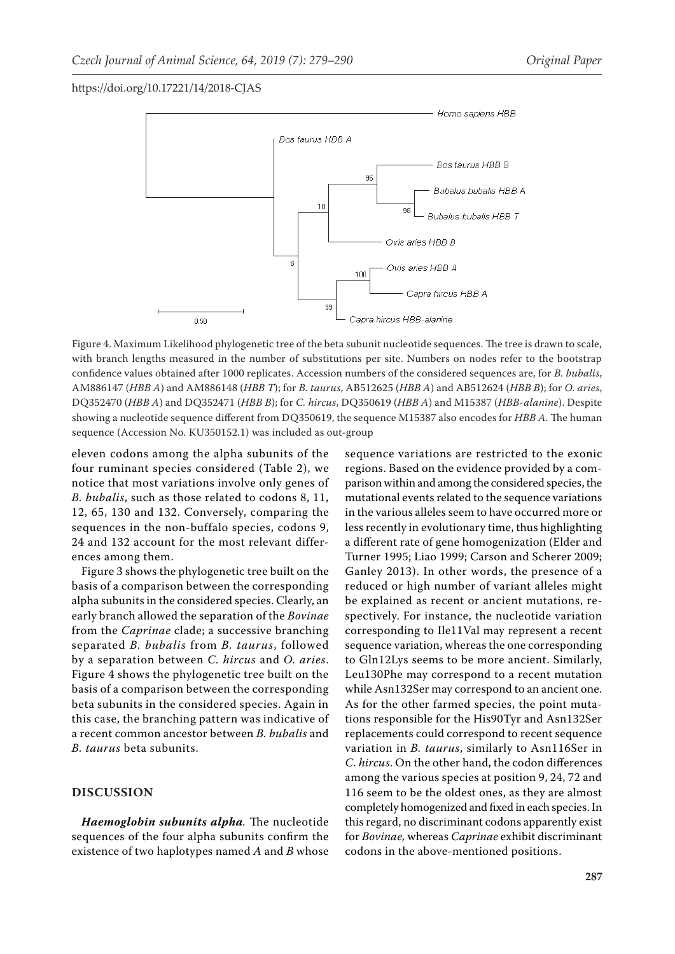

Figure 4. Maximum Likelihood phylogenetic tree of the beta subunit nucleotide sequences. The tree is drawn to scale, with branch lengths measured in the number of substitutions per site. Numbers on nodes refer to the bootstrap confidence values obtained after 1000 replicates. Accession numbers of the considered sequences are, for *B. bubalis*, AM886147 (*HBB A*) and AM886148 (*HBB T*); for *B. taurus*, AB512625 (*HBB A*) and AB512624 (*HBB B*); for *O. aries*, DQ352470 (*HBB A*) and DQ352471 (*HBB B*); for *C. hircus*, DQ350619 (*HBB A*) and M15387 (*HBB-alanine*). Despite showing a nucleotide sequence different from DQ350619, the sequence M15387 also encodes for *HBB A*. The human sequence (Accession No. KU350152.1) was included as out-group

eleven codons among the alpha subunits of the four ruminant species considered (Table 2), we notice that most variations involve only genes of *B. bubalis*, such as those related to codons 8, 11, 12, 65, 130 and 132. Conversely, comparing the sequences in the non-buffalo species, codons 9, 24 and 132 account for the most relevant differences among them.

Figure 3 shows the phylogenetic tree built on the basis of a comparison between the corresponding alpha subunits in the considered species. Clearly, an early branch allowed the separation of the *Bovinae* from the *Caprinae* clade; a successive branching separated *B. bubalis* from *B. taurus*, followed by a separation between *C. hircus* and *O. aries*. Figure 4 shows the phylogenetic tree built on the basis of a comparison between the corresponding beta subunits in the considered species. Again in this case, the branching pattern was indicative of a recent common ancestor between *B. bubalis* and *B. taurus* beta subunits.

## **DISCUSSION**

*Haemoglobin subunits alpha.* The nucleotide sequences of the four alpha subunits confirm the existence of two haplotypes named *A* and *B* whose sequence variations are restricted to the exonic regions. Based on the evidence provided by a comparison within and among the considered species, the mutational events related to the sequence variations in the various alleles seem to have occurred more or less recently in evolutionary time, thus highlighting a different rate of gene homogenization (Elder and Turner 1995; Liao 1999; Carson and Scherer 2009; Ganley 2013). In other words, the presence of a reduced or high number of variant alleles might be explained as recent or ancient mutations, respectively. For instance, the nucleotide variation corresponding to Ile11Val may represent a recent sequence variation, whereas the one corresponding to Gln12Lys seems to be more ancient. Similarly, Leu130Phe may correspond to a recent mutation while Asn132Ser may correspond to an ancient one. As for the other farmed species, the point mutations responsible for the His90Tyr and Asn132Ser replacements could correspond to recent sequence variation in *B. taurus*, similarly to Asn116Ser in *C. hircus*. On the other hand, the codon differences among the various species at position 9, 24, 72 and 116 seem to be the oldest ones, as they are almost completely homogenized and fixed in each species. In this regard, no discriminant codons apparently exist for *Bovinae,* whereas *Caprinae* exhibit discriminant codons in the above-mentioned positions.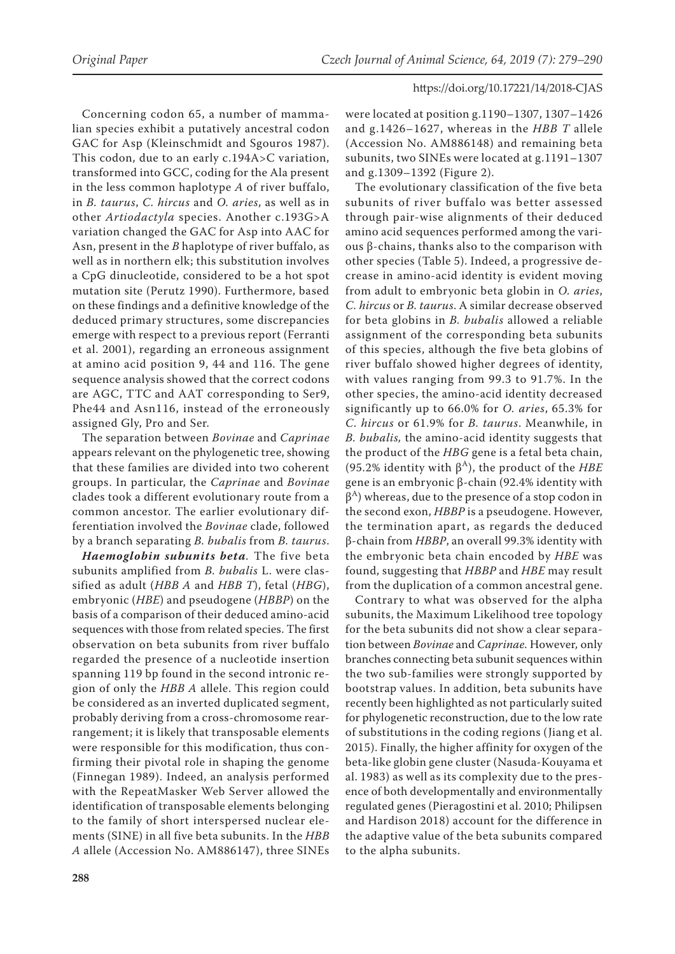Concerning codon 65, a number of mammalian species exhibit a putatively ancestral codon GAC for Asp (Kleinschmidt and Sgouros 1987). This codon, due to an early c.194A>C variation, transformed into GCC, coding for the Ala present in the less common haplotype *A* of river buffalo, in *B. taurus*, *C. hircus* and *O. aries*, as well as in other *Artiodactyla* species. Another c.193G>A variation changed the GAC for Asp into AAC for Asn, present in the *B* haplotype of river buffalo, as well as in northern elk; this substitution involves a CpG dinucleotide, considered to be a hot spot mutation site (Perutz 1990). Furthermore, based on these findings and a definitive knowledge of the deduced primary structures, some discrepancies emerge with respect to a previous report (Ferranti et al. 2001), regarding an erroneous assignment at amino acid position 9, 44 and 116. The gene sequence analysis showed that the correct codons are AGC, TTC and AAT corresponding to Ser9, Phe44 and Asn116, instead of the erroneously assigned Gly, Pro and Ser.

The separation between *Bovinae* and *Caprinae*  appears relevant on the phylogenetic tree, showing that these families are divided into two coherent groups. In particular, the *Caprinae* and *Bovinae* clades took a different evolutionary route from a common ancestor. The earlier evolutionary differentiation involved the *Bovinae* clade, followed by a branch separating *B. bubalis* from *B. taurus*.

*Haemoglobin subunits beta.* The five beta subunits amplified from *B. bubalis* L. were classified as adult (*HBB A* and *HBB T*), fetal (*HBG*), embryonic (*HBE*) and pseudogene (*HBBP*) on the basis of a comparison of their deduced amino-acid sequences with those from related species. The first observation on beta subunits from river buffalo regarded the presence of a nucleotide insertion spanning 119 bp found in the second intronic region of only the *HBB A* allele. This region could be considered as an inverted duplicated segment, probably deriving from a cross-chromosome rearrangement; it is likely that transposable elements were responsible for this modification, thus confirming their pivotal role in shaping the genome (Finnegan 1989). Indeed, an analysis performed with the RepeatMasker Web Server allowed the identification of transposable elements belonging to the family of short interspersed nuclear elements (SINE) in all five beta subunits. In the *HBB A* allele (Accession No. AM886147), three SINEs

were located at position g.1190–1307, 1307–1426 and g.1426–1627, whereas in the *HBB T* allele (Accession No. AM886148) and remaining beta subunits, two SINEs were located at g.1191–1307 and g.1309–1392 (Figure 2).

The evolutionary classification of the five beta subunits of river buffalo was better assessed through pair-wise alignments of their deduced amino acid sequences performed among the various β-chains, thanks also to the comparison with other species (Table 5). Indeed, a progressive decrease in amino-acid identity is evident moving from adult to embryonic beta globin in *O. aries*, *C. hircus* or *B. taurus*. A similar decrease observed for beta globins in *B. bubalis* allowed a reliable assignment of the corresponding beta subunits of this species, although the five beta globins of river buffalo showed higher degrees of identity, with values ranging from 99.3 to 91.7%. In the other species, the amino-acid identity decreased significantly up to 66.0% for *O. aries*, 65.3% for *C. hircus* or 61.9% for *B. taurus*. Meanwhile, in *B. bubalis,* the amino-acid identity suggests that the product of the *HBG* gene is a fetal beta chain, (95.2% identity with  $\beta^A$ ), the product of the *HBE* gene is an embryonic β-chain (92.4% identity with  $\beta^{A}$ ) whereas, due to the presence of a stop codon in the second exon, *HBBP* is a pseudogene. However, the termination apart, as regards the deduced β-chain from *HBBP*, an overall 99.3% identity with the embryonic beta chain encoded by *HBE* was found, suggesting that *HBBP* and *HBE* may result from the duplication of a common ancestral gene.

Contrary to what was observed for the alpha subunits, the Maximum Likelihood tree topology for the beta subunits did not show a clear separation between *Bovinae* and *Caprinae.* However*,* only branches connecting beta subunit sequences within the two sub-families were strongly supported by bootstrap values. In addition, beta subunits have recently been highlighted as not particularly suited for phylogenetic reconstruction, due to the low rate of substitutions in the coding regions (Jiang et al. 2015). Finally, the higher affinity for oxygen of the beta-like globin gene cluster (Nasuda-Kouyama et al. 1983) as well as its complexity due to the presence of both developmentally and environmentally regulated genes (Pieragostini et al. 2010; Philipsen and Hardison 2018) account for the difference in the adaptive value of the beta subunits compared to the alpha subunits.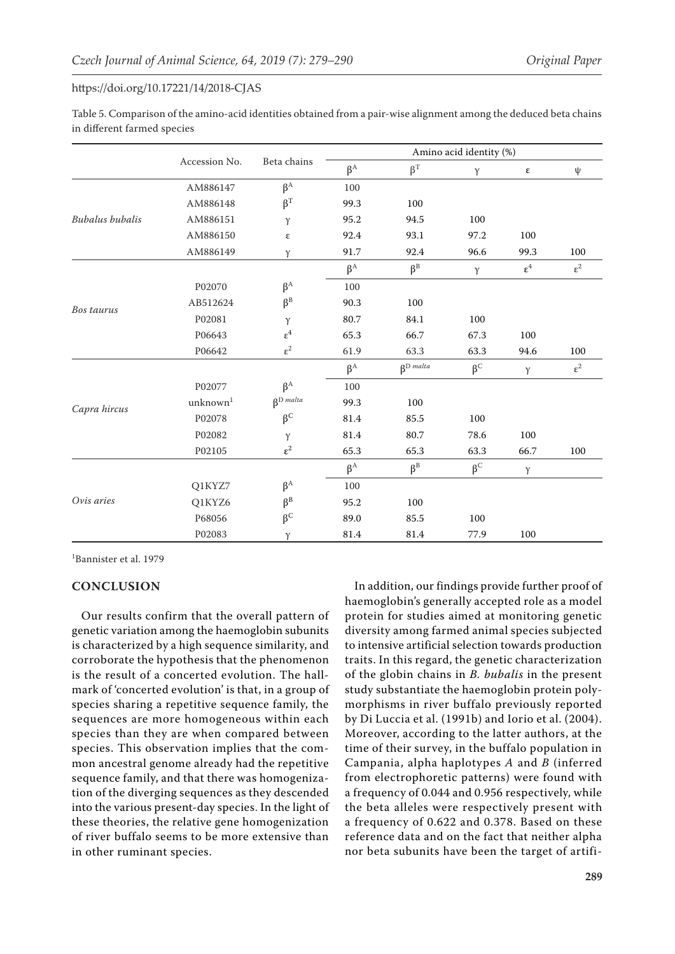Table 5. Comparison of the amino-acid identities obtained from a pair-wise alignment among the deduced beta chains in different farmed species

|                            |                      |                                   |           |                                   | Amino acid identity (%)                                                                                                                                                       |     |                 |
|----------------------------|----------------------|-----------------------------------|-----------|-----------------------------------|-------------------------------------------------------------------------------------------------------------------------------------------------------------------------------|-----|-----------------|
|                            | Accession No.        | Beta chains                       | $\beta^A$ | $\beta^T$                         | Y                                                                                                                                                                             | ε   | ψ               |
|                            | AM886147             | $\beta^A$                         | 100       |                                   |                                                                                                                                                                               |     |                 |
|                            | AM886148             | $\beta^T$                         | 99.3      | 100                               |                                                                                                                                                                               |     |                 |
| <b>Bubalus</b> bubalis     | AM886151             | $\gamma$                          | 95.2      | 94.5                              | 100                                                                                                                                                                           |     |                 |
|                            | AM886150             | $\boldsymbol{\epsilon}$           | 92.4      | 93.1                              | 97.2                                                                                                                                                                          | 100 |                 |
|                            | AM886149             | $\gamma$                          | 91.7      | 92.4                              | 96.6<br>99.3<br>$\epsilon^4$<br>$\gamma$<br>100<br>67.3<br>100<br>63.3<br>94.6<br>$\beta^C$<br>$\gamma$<br>100<br>78.6<br>100<br>63.3<br>66.7<br>$\beta^C$<br>$\gamma$<br>100 | 100 |                 |
|                            |                      |                                   | $\beta^A$ | $\beta^B$                         |                                                                                                                                                                               |     | $\epsilon^2$    |
|                            | P02070               | $\beta^A$                         | 100       |                                   |                                                                                                                                                                               |     |                 |
| Bos taurus<br>Capra hircus | AB512624             | $\beta^B$                         | 90.3      | 100                               |                                                                                                                                                                               |     |                 |
|                            | P02081               | Y                                 | 80.7      | 84.1                              |                                                                                                                                                                               |     |                 |
|                            | P06643               | $\epsilon^4$                      | 65.3      | 66.7                              |                                                                                                                                                                               |     |                 |
|                            | P06642               | $\epsilon^2$                      | 61.9      | 63.3                              |                                                                                                                                                                               |     | 100             |
|                            |                      |                                   | $\beta^A$ | $\beta^{\text{D} \textit{malta}}$ |                                                                                                                                                                               |     | $\varepsilon^2$ |
|                            | P02077               | $\beta^A$                         | 100       |                                   |                                                                                                                                                                               |     |                 |
|                            | unknown <sup>1</sup> | $\beta^{\text{D} \textit{malta}}$ | 99.3      | 100                               |                                                                                                                                                                               |     |                 |
|                            | P02078               | $\beta^C$                         | 81.4      | 85.5                              |                                                                                                                                                                               |     |                 |
|                            | P02082               | γ                                 | 81.4      | 80.7                              |                                                                                                                                                                               |     |                 |
|                            | P02105               | $\epsilon^2$                      | 65.3      | 65.3                              |                                                                                                                                                                               |     | 100             |
|                            |                      |                                   | $\beta^A$ | $\beta^B$                         |                                                                                                                                                                               |     |                 |
|                            | Q1KYZ7               | $\beta^A$                         | 100       |                                   |                                                                                                                                                                               |     |                 |
| Ovis aries                 | Q1KYZ6               | $\beta^B$                         | 95.2      | 100                               |                                                                                                                                                                               |     |                 |
|                            | P68056               | $\beta^C$                         | 89.0      | 85.5                              |                                                                                                                                                                               |     |                 |
|                            | P02083               | γ                                 | 81.4      | 81.4                              | 77.9                                                                                                                                                                          | 100 |                 |

1 Bannister et al. 1979

## **CONCLUSION**

Our results confirm that the overall pattern of genetic variation among the haemoglobin subunits is characterized by a high sequence similarity, and corroborate the hypothesis that the phenomenon is the result of a concerted evolution. The hallmark of 'concerted evolution' is that, in a group of species sharing a repetitive sequence family, the sequences are more homogeneous within each species than they are when compared between species. This observation implies that the common ancestral genome already had the repetitive sequence family, and that there was homogenization of the diverging sequences as they descended into the various present-day species. In the light of these theories, the relative gene homogenization of river buffalo seems to be more extensive than in other ruminant species.

In addition, our findings provide further proof of haemoglobin's generally accepted role as a model protein for studies aimed at monitoring genetic diversity among farmed animal species subjected to intensive artificial selection towards production traits. In this regard, the genetic characterization of the globin chains in *B. bubalis* in the present study substantiate the haemoglobin protein polymorphisms in river buffalo previously reported by Di Luccia et al. (1991b) and Iorio et al. (2004). Moreover, according to the latter authors, at the time of their survey, in the buffalo population in Campania, alpha haplotypes *A* and *B* (inferred from electrophoretic patterns) were found with a frequency of 0.044 and 0.956 respectively, while the beta alleles were respectively present with a frequency of 0.622 and 0.378. Based on these reference data and on the fact that neither alpha nor beta subunits have been the target of artifi-